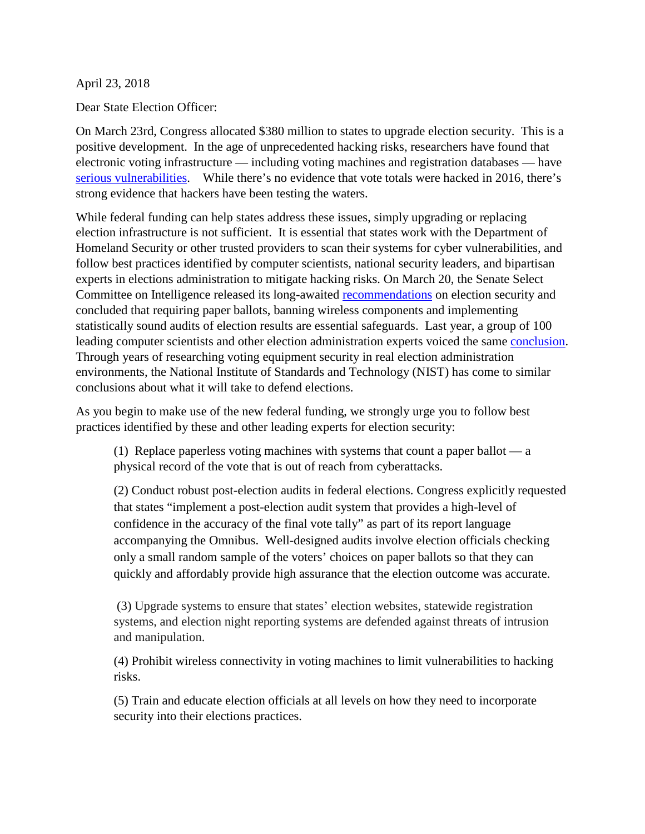April 23, 2018

Dear State Election Officer:

On March 23rd, Congress allocated \$380 million to states to upgrade election security. This is a positive development. In the age of unprecedented hacking risks, researchers have found that electronic voting infrastructure — including voting machines and registration databases — have [serious vulnerabilities.](https://www.washingtonpost.com/news/posteverything/wp/2017/06/21/heres-how-to-keep-russian-hackers-from-attacking-the-2018-elections/?utm_term=.4fbe8201f65f) While there's no evidence that vote totals were hacked in 2016, there's strong evidence that hackers have been testing the waters.

While federal funding can help states address these issues, simply upgrading or replacing election infrastructure is not sufficient. It is essential that states work with the Department of Homeland Security or other trusted providers to scan their systems for cyber vulnerabilities, and follow best practices identified by computer scientists, national security leaders, and bipartisan experts in elections administration to mitigate hacking risks. On March 20, the Senate Select Committee on Intelligence released its long-awaite[d](https://www.nytimes.com/2018/03/20/us/politics/senate-intelligence-election-security-midterms.html) [recommendations](https://www.nytimes.com/2018/03/20/us/politics/senate-intelligence-election-security-midterms.html) on election security and concluded that requiring paper ballots, banning wireless components and implementing statistically sound audits of election results are essential safeguards. Last year, a group of 100 leading computer scientists and other election administration experts voice[d](https://d.docs.live.net/e25788a5b55f63b7/Desktop/Solar%20Articles/Paper%20and%20audit%20letter.docx#_msocom_1) the same [conclusion.](https://issuu.com/nationalelectiondefensecoalition/docs/expert_sign-on_letter_to_congress_e5760fab47f71f) Through years of researching voting equipment security in real election administration environments, the National Institute of Standards and Technology (NIST) has come to similar conclusions about what it will take to defend elections.

As you begin to make use of the new federal funding, we strongly urge you to follow best practices identified by these and other leading experts for election security:

(1) Replace paperless voting machines with systems that count a paper ballot — a physical record of the vote that is out of reach from cyberattacks.

(2) Conduct robust post-election audits in federal elections. Congress explicitly requested that states "implement a post-election audit system that provides a high-level of confidence in the accuracy of the final vote tally" as part of its report language accompanying the Omnibus. Well-designed audits involve election officials checking only a small random sample of the voters' choices on paper ballots so that they can quickly and affordably provide high assurance that the election outcome was accurate.

(3) Upgrade systems to ensure that states' election websites, statewide registration systems, and election night reporting systems are defended against threats of intrusion and manipulation.

(4) Prohibit wireless connectivity in voting machines to limit vulnerabilities to hacking risks.

(5) Train and educate election officials at all levels on how they need to incorporate security into their elections practices.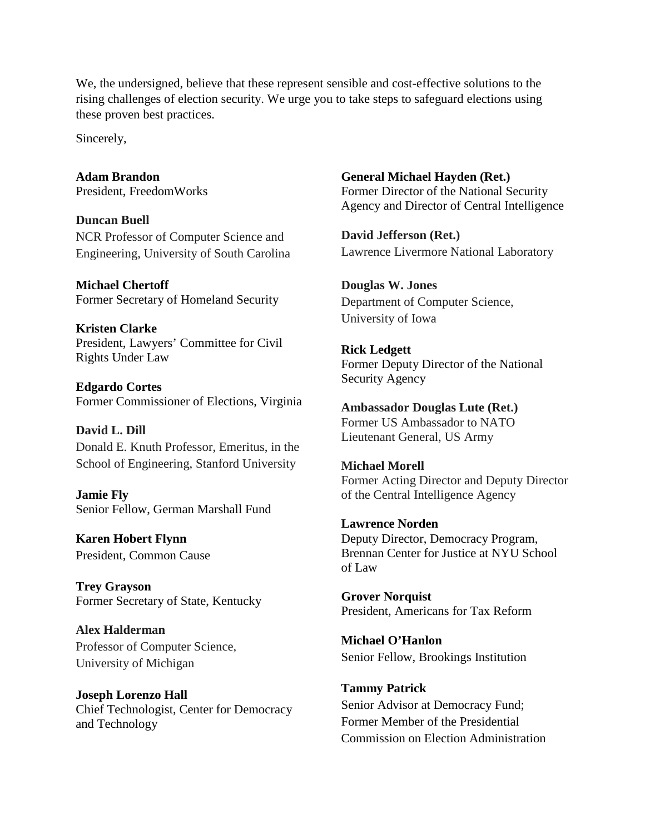We, the undersigned, believe that these represent sensible and cost-effective solutions to the rising challenges of election security. We urge you to take steps to safeguard elections using these proven best practices.

Sincerely,

**Adam Brandon**  President, FreedomWorks

**Duncan Buell** NCR Professor of Computer Science and Engineering, University of South Carolina

**Michael Chertoff**  Former Secretary of Homeland Security

**Kristen Clarke** President, Lawyers' Committee for Civil Rights Under Law

**Edgardo Cortes** Former Commissioner of Elections, Virginia

**David L. Dill** Donald E. Knuth Professor, Emeritus, in the School of Engineering, Stanford University

**Jamie Fly**  Senior Fellow, German Marshall Fund

**Karen Hobert Flynn** President, Common Cause

**Trey Grayson**  Former Secretary of State, Kentucky

**Alex Halderman** Professor of Computer Science, University of Michigan

**Joseph Lorenzo Hall**  Chief Technologist, Center for Democracy and Technology

**General Michael Hayden (Ret.)** Former Director of the National Security Agency and Director of Central Intelligence

**David Jefferson (Ret.)** Lawrence Livermore National Laboratory

**Douglas W. Jones** Department of Computer Science, University of Iowa

**Rick Ledgett** Former Deputy Director of the National Security Agency

**Ambassador Douglas Lute (Ret.)** Former US Ambassador to NATO Lieutenant General, US Army

**Michael Morell** Former Acting Director and Deputy Director of the Central Intelligence Agency

**Lawrence Norden** Deputy Director, Democracy Program, Brennan Center for Justice at NYU School of Law

**Grover Norquist**  President, Americans for Tax Reform

**Michael O'Hanlon** Senior Fellow, Brookings Institution

**Tammy Patrick** Senior Advisor at Democracy Fund; Former Member of the Presidential Commission on Election Administration